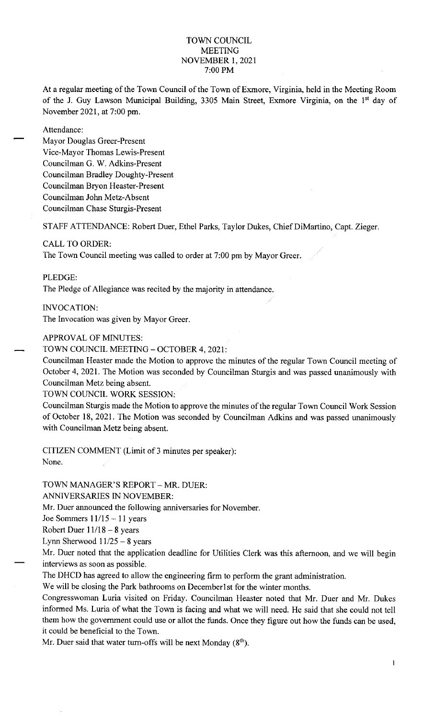#### TOWN COUNCIL MEETING NOVEMBER 1, 2021 7:00 PM

At a regular meeting of the Town Council of the Town of Exmore, Virginia, held in the Meeting Room of the J. Guy Lawson Municipal Building, 3305 Main Street, Exmore Virginia, on the 18' day of November 2021, at 7:00 pm.

Attendance:

Mayor Douglas Greer-Present Vice-Mayor Thomas Lewis-Present Councilman G. W. Adkins-Present Councilman Bradley Doughty-Present Councilman Bryon Heaster-Present Councilman John Metz-Absent Councilman Chase Sturgis-Present

STAFF ATTENDANCE: Robert Duer, Ethel Parks, Taylor Dukes, Chief DiMartino, Capt. Zieger.

#### CALL TO ORDER:

The Town Council meeting was called to order at 7:00 pm by Mayor Greer.

PLEDGE:

The Pledge of Allegiance was recited by the majority in attendance.

INVOCATION:

The Invocation was given by Mayor Greer.

## APPROVAL OF MINUTES:

TOWN COUNCIL MEETING - OCTOBER 4, 2021:

Councilman Heaster made the Motion to approve the minutes of the regular Town Council meeting of October 4, 2021. The Motion was seconded by Councilman Sturgis and was passed unanimously with Councilman Metz being absent.

TOWN COUNCIL WORK SESSION

Councilman Sturgis made the Motion to approve the minutes of the regular Town Council Work Session of October 18, 2021. The Motion was seconded by Councilman Adkins and was passed unanimously with Councilman Metz being absent.

CITIZEN COMMENT (Limit of 3 minutes per speaker): None.

TOWN MANAGER'S REPORT - MR. DUER:

ANNIVERSARIES IN NOVEMBER:

Mr. Duer announced the following anniversaries for November.

Joe Sommers  $11/15 - 11$  years

Robert Duer  $11/18-8$  years

Lynn Sherwood  $11/25 - 8$  years

Mr. Duer noted that the application deadline for Utilities Clerk was this afternoon, and we will begin interviews as soon as possible.

The DHCD has agreed to allow the engineering firm to perform the grant administration.

We will be closing the Park bathrooms on December1st for the winter months.

Congresswoman Luria visited on Friday. Councilman Heaster noted that Mr. Duer and Mr. Dukes informed Ms. Luria of what the Town is facing and what we will need. He said that she could not tell them how the government could use or allot the funds. Once they figure out how the funds can be used, it could be beneficial to the Town.

Mr. Duer said that water turn-offs will be next Monday  $(8<sup>th</sup>)$ .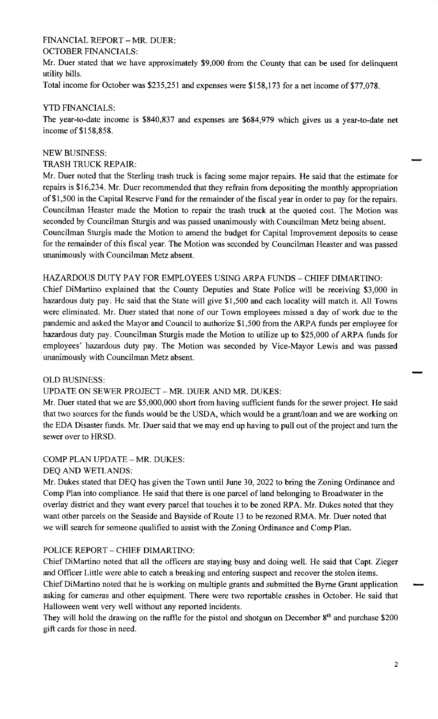# FINANCIAL REPORT - MR. DUER:

## OCTOBER FINANCIALS:

Mr. Duer stated that we have approximately \$9,000 from the County that can be used for delinquent utility bills.

Total income for October was \$235,251 and expenses were \$158,173 for a net income of \$77,078.

## YTD FINANCIALS:

The year-to-date income is \$840,837 and expenses are \$684,979 which gives us a year-to-date net income of \$158,858.

## NEW BUSINESS:

TRASH TRUCK REPAIR:

Mr. Duer noted that the Sterling trash truck is facing some major repairs. He said that the estimate for repairs is \$16,234. Mr. Duer recommended that they refrain from depositing the monthly appropriation of \$1,500 in the Capital Reserve Fund for the remainder of the fiscal year in order to pay for the repairs. Councilman Heaster made the Motion to repair the trash truck at the quoted cost. The Motion was seconded by Councilman Sturgis and was passed unanimously with Councilman Metz being absent. Councilman Sturgis made the Motion to amend the budget for Capital Improvement deposits to cease for the remainder of this fiscal year. The Motion was seconded by Councilman Heaster and was passed unanimously with Councilman Metz absent.

## HAZARDOUS DUTY PAY FOR EMPLOYEES USING ARPA FUNDS - CHIEF DIMARTINO:

Chief DiMartino explained that the County Deputies and State Police will be receiving \$3,000 in hazardous duty pay. He said that the State will give \$1,500 and each locality will match it. All Towns were eliminated. Mr. Duer stated that none of our Town employees missed a day of work due to the pandemic and asked the Mayor and Council to authorize \$1,500 from the ARPA funds per employee for hazardous duty pay. Councilman Sturgis made the Motion to utilize up to \$25,000 of ARPA funds for employees' hazardous duty pay. The Motion was seconded by Vice-Mayor Lewis and was passed unanimously with Councilman Metz absent.

# OLD BUSINESS:

# UPDATE ON SEWER PROJECT - MR. DUER AND MR. DUKES:

Mr. Duer stated that we are \$5,000,000 short from having sufficient funds for the sewer project. He said that two sources for the funds would be the USDA, which would be a grant/loan and we are working on the EDA Disaster funds. Mr. Duer said that we may end up having to pull out of the project and turn the sewer over to HRSD.

# COMP PLAN UPDATE - MR. DUKES:

#### DEQ AND WETLANDS:

Mr. Dukes stated that DEQ has given the Town until June 30, 2022 to bring the Zoning Ordinance and Comp Plan into compliance. He said that there is one parcel of land belonging to Broadwater in the overlay district and they want every parcel that touches it to be zoned RPA. Mr. Dukes noted that they want other parcels on the Seaside and Bayside of Route 13 to be rezoned RMA. Mr. Duer noted that we will search for someone qualified to assist with the Zoning Ordinance and Comp Plan.

# POLICE REPORT - CHIEF DIMARTINO:

Chief DiMartino noted that all the officers are staying busy and doing well. He said that Capt. Zieger and Officer Little were able to catch a breaking and entering suspect and recover the stolen items. Chief DiMartino noted that he is working on multiple grants and submitted the Byrne Grant application asking for cameras and other equipment. There were two reportable crashes in October. He said that Halloween went very well without any reported incidents.

They will hold the drawing on the raffle for the pistol and shotgun on December 8<sup>th</sup> and purchase \$200 gift cards for those in need.